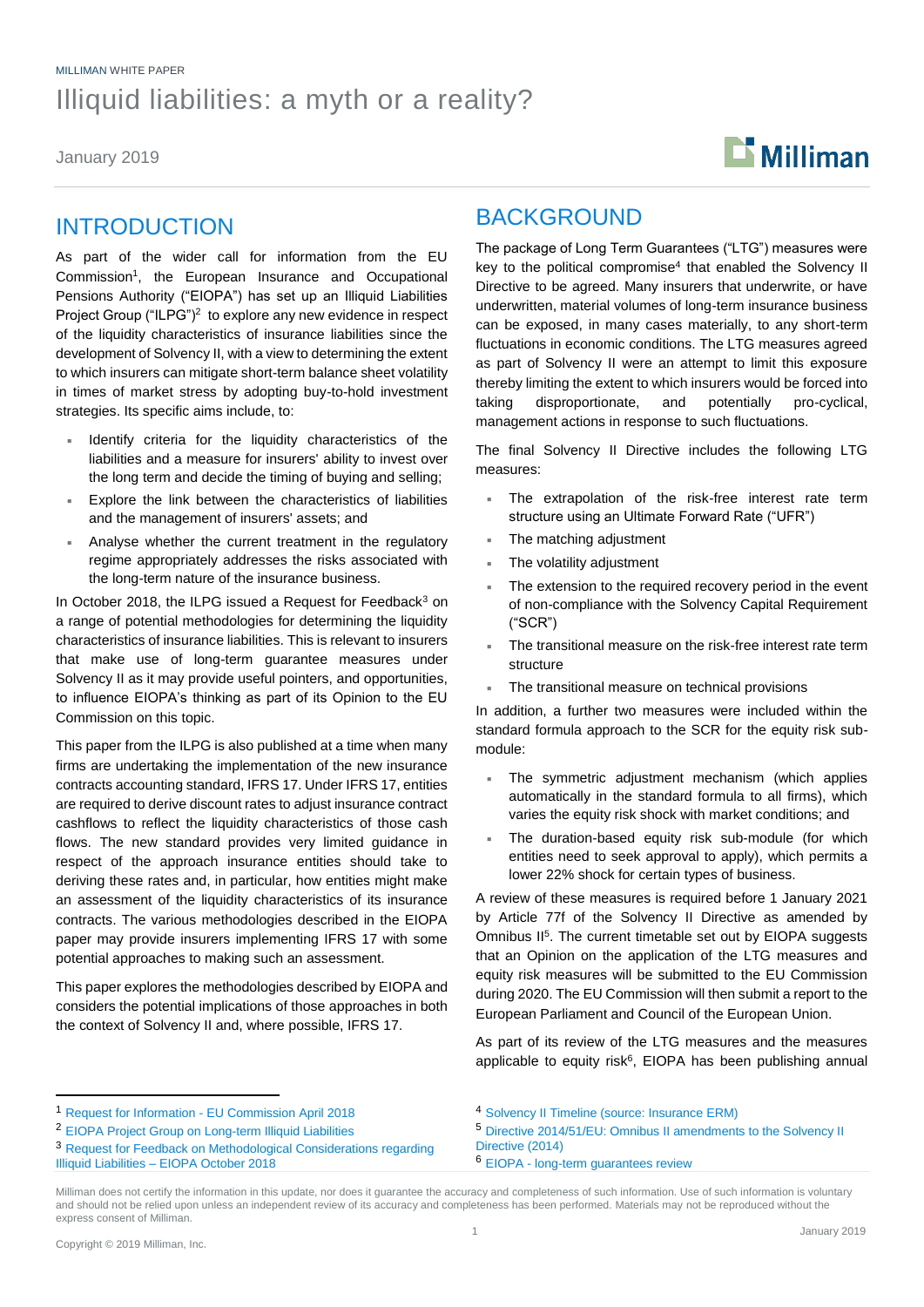### MILLIMAN WHITE PAPER Illiquid liabilities: a myth or a reality?

January 2019



### INTRODUCTION

As part of the wider call for information from the EU Commission<sup>1</sup>, the European Insurance and Occupational Pensions Authority ("EIOPA") has set up an Illiquid Liabilities Project Group ("ILPG")<sup>2</sup> to explore any new evidence in respect of the liquidity characteristics of insurance liabilities since the development of Solvency II, with a view to determining the extent to which insurers can mitigate short-term balance sheet volatility in times of market stress by adopting buy-to-hold investment strategies. Its specific aims include, to:

- Identify criteria for the liquidity characteristics of the liabilities and a measure for insurers' ability to invest over the long term and decide the timing of buying and selling;
- Explore the link between the characteristics of liabilities and the management of insurers' assets; and
- Analyse whether the current treatment in the regulatory regime appropriately addresses the risks associated with the long-term nature of the insurance business.

In October 2018, the ILPG issued a Request for Feedback<sup>3</sup> on a range of potential methodologies for determining the liquidity characteristics of insurance liabilities. This is relevant to insurers that make use of long-term guarantee measures under Solvency II as it may provide useful pointers, and opportunities, to influence EIOPA's thinking as part of its Opinion to the EU Commission on this topic.

This paper from the ILPG is also published at a time when many firms are undertaking the implementation of the new insurance contracts accounting standard, IFRS 17. Under IFRS 17, entities are required to derive discount rates to adjust insurance contract cashflows to reflect the liquidity characteristics of those cash flows. The new standard provides very limited guidance in respect of the approach insurance entities should take to deriving these rates and, in particular, how entities might make an assessment of the liquidity characteristics of its insurance contracts. The various methodologies described in the EIOPA paper may provide insurers implementing IFRS 17 with some potential approaches to making such an assessment.

This paper explores the methodologies described by EIOPA and considers the potential implications of those approaches in both the context of Solvency II and, where possible, IFRS 17.

### BACKGROUND

The package of Long Term Guarantees ("LTG") measures were key to the political compromise<sup>4</sup> that enabled the Solvency II Directive to be agreed. Many insurers that underwrite, or have underwritten, material volumes of long-term insurance business can be exposed, in many cases materially, to any short-term fluctuations in economic conditions. The LTG measures agreed as part of Solvency II were an attempt to limit this exposure thereby limiting the extent to which insurers would be forced into taking disproportionate, and potentially pro-cyclical, management actions in response to such fluctuations.

The final Solvency II Directive includes the following LTG measures:

- The extrapolation of the risk-free interest rate term structure using an Ultimate Forward Rate ("UFR")
- The matching adjustment
- The volatility adjustment
- The extension to the required recovery period in the event of non-compliance with the Solvency Capital Requirement ("SCR")
- The transitional measure on the risk-free interest rate term structure
- The transitional measure on technical provisions

In addition, a further two measures were included within the standard formula approach to the SCR for the equity risk submodule:

- The symmetric adjustment mechanism (which applies automatically in the standard formula to all firms), which varies the equity risk shock with market conditions; and
- The duration-based equity risk sub-module (for which entities need to seek approval to apply), which permits a lower 22% shock for certain types of business.

A review of these measures is required before 1 January 2021 by Article 77f of the Solvency II Directive as amended by Omnibus II<sup>5</sup>. The current timetable set out by EIOPA suggests that an Opinion on the application of the LTG measures and equity risk measures will be submitted to the EU Commission during 2020. The EU Commission will then submit a report to the European Parliament and Council of the European Union.

As part of its review of the LTG measures and the measures applicable to equity risk<sup>6</sup>, EIOPA has been publishing annual

<sup>3</sup> [Request for Feedback on Methodological Considerations regarding](https://eiopa.europa.eu/Publications/Consultations/EIOPA-PSC-18_093_Request_for_Feedback_Illiquid%20Liabilities.pdf)  Illiquid Liabilities – [EIOPA October 2018](https://eiopa.europa.eu/Publications/Consultations/EIOPA-PSC-18_093_Request_for_Feedback_Illiquid%20Liabilities.pdf)

- <sup>5</sup> [Directive 2014/51/EU: Omnibus II amendments to the Solvency II](https://eur-lex.europa.eu/legal-content/EN/TXT/PDF/?uri=CELEX:32014L0051&from=EN)  [Directive \(2014\)](https://eur-lex.europa.eu/legal-content/EN/TXT/PDF/?uri=CELEX:32014L0051&from=EN)
- <sup>6</sup> EIOPA [long-term guarantees review](https://eiopa.europa.eu/regulation-supervision/insurance/long-term-guarantees-review)

<sup>1</sup> Request for Information - [EU Commission April 2018](https://eiopa.europa.eu/Publications/Requests%20for%20advice/Request%20for%20information%202018-04-25.pdf)

<sup>2</sup> [EIOPA Project Group on Long-term Illiquid Liabilities](https://eiopa.europa.eu/Pages/Review-of-Illiquid-liabilities-and-analysis-of-potential-implications-Information-Request-.aspx)

<sup>4</sup> [Solvency II Timeline \(source: Insurance ERM\)](https://www.insuranceerm.com/guides/solvency-ii-timeline.html)

Milliman does not certify the information in this update, nor does it guarantee the accuracy and completeness of such information. Use of such information is voluntary and should not be relied upon unless an independent review of its accuracy and completeness has been performed. Materials may not be reproduced without the express consent of Milliman.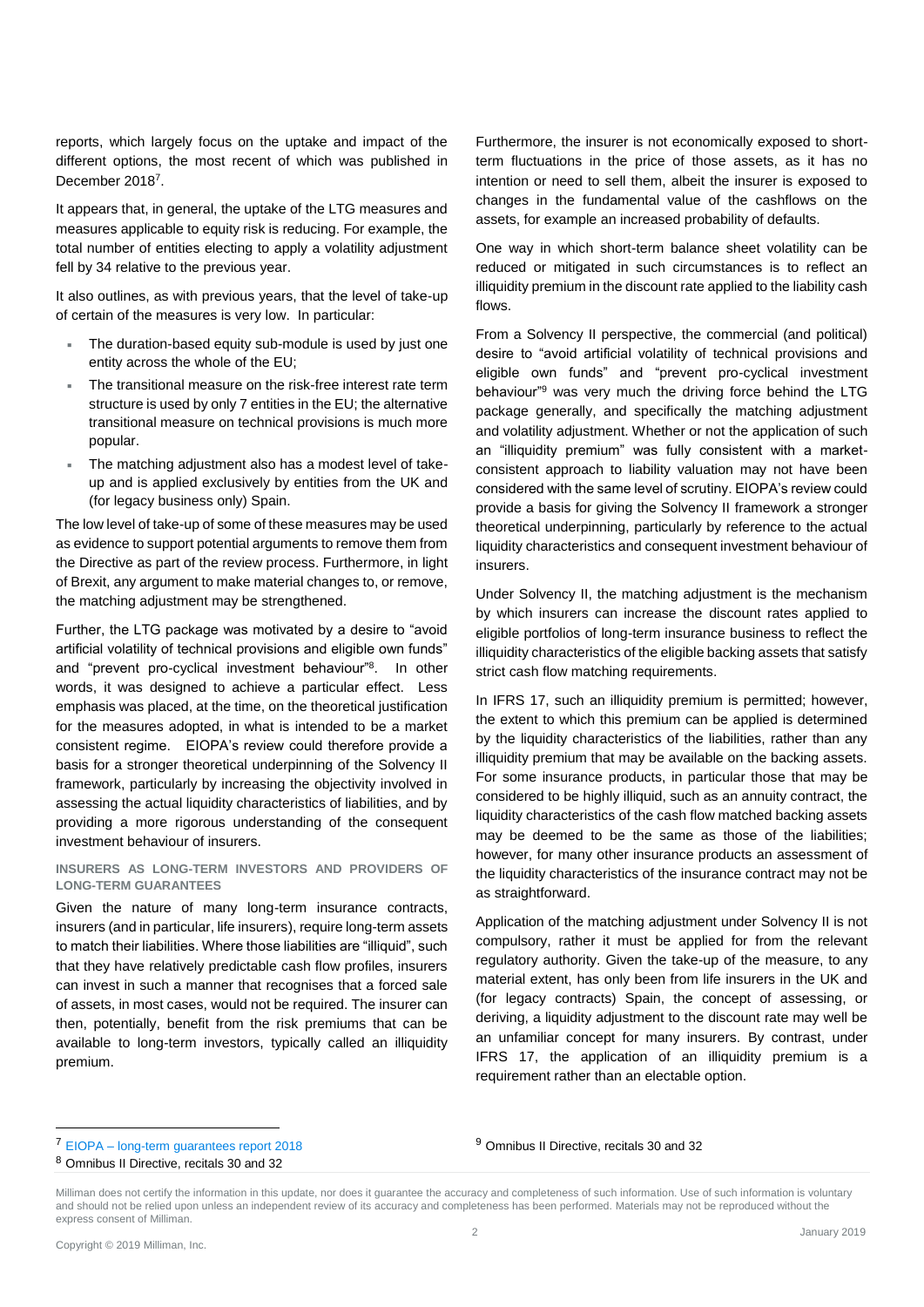reports, which largely focus on the uptake and impact of the different options, the most recent of which was published in December 2018<sup>7</sup>.

It appears that, in general, the uptake of the LTG measures and measures applicable to equity risk is reducing. For example, the total number of entities electing to apply a volatility adjustment fell by 34 relative to the previous year.

It also outlines, as with previous years, that the level of take-up of certain of the measures is very low. In particular:

- The duration-based equity sub-module is used by just one entity across the whole of the EU;
- The transitional measure on the risk-free interest rate term structure is used by only 7 entities in the EU; the alternative transitional measure on technical provisions is much more popular.
- The matching adjustment also has a modest level of takeup and is applied exclusively by entities from the UK and (for legacy business only) Spain.

The low level of take-up of some of these measures may be used as evidence to support potential arguments to remove them from the Directive as part of the review process. Furthermore, in light of Brexit, any argument to make material changes to, or remove, the matching adjustment may be strengthened.

Further, the LTG package was motivated by a desire to "avoid artificial volatility of technical provisions and eligible own funds" and "prevent pro-cyclical investment behaviour"<sup>8</sup> . In other words, it was designed to achieve a particular effect. Less emphasis was placed, at the time, on the theoretical justification for the measures adopted, in what is intended to be a market consistent regime. EIOPA's review could therefore provide a basis for a stronger theoretical underpinning of the Solvency II framework, particularly by increasing the objectivity involved in assessing the actual liquidity characteristics of liabilities, and by providing a more rigorous understanding of the consequent investment behaviour of insurers.

#### **INSURERS AS LONG-TERM INVESTORS AND PROVIDERS OF LONG-TERM GUARANTEES**

Given the nature of many long-term insurance contracts, insurers (and in particular, life insurers), require long-term assets to match their liabilities. Where those liabilities are "illiquid", such that they have relatively predictable cash flow profiles, insurers can invest in such a manner that recognises that a forced sale of assets, in most cases, would not be required. The insurer can then, potentially, benefit from the risk premiums that can be available to long-term investors, typically called an illiquidity premium.

Furthermore, the insurer is not economically exposed to shortterm fluctuations in the price of those assets, as it has no intention or need to sell them, albeit the insurer is exposed to changes in the fundamental value of the cashflows on the assets, for example an increased probability of defaults.

One way in which short-term balance sheet volatility can be reduced or mitigated in such circumstances is to reflect an illiquidity premium in the discount rate applied to the liability cash flows.

From a Solvency II perspective, the commercial (and political) desire to "avoid artificial volatility of technical provisions and eligible own funds" and "prevent pro-cyclical investment behaviour"<sup>9</sup> was very much the driving force behind the LTG package generally, and specifically the matching adjustment and volatility adjustment. Whether or not the application of such an "illiquidity premium" was fully consistent with a marketconsistent approach to liability valuation may not have been considered with the same level of scrutiny. EIOPA's review could provide a basis for giving the Solvency II framework a stronger theoretical underpinning, particularly by reference to the actual liquidity characteristics and consequent investment behaviour of insurers.

Under Solvency II, the matching adjustment is the mechanism by which insurers can increase the discount rates applied to eligible portfolios of long-term insurance business to reflect the illiquidity characteristics of the eligible backing assets that satisfy strict cash flow matching requirements.

In IFRS 17, such an illiquidity premium is permitted; however, the extent to which this premium can be applied is determined by the liquidity characteristics of the liabilities, rather than any illiquidity premium that may be available on the backing assets. For some insurance products, in particular those that may be considered to be highly illiquid, such as an annuity contract, the liquidity characteristics of the cash flow matched backing assets may be deemed to be the same as those of the liabilities; however, for many other insurance products an assessment of the liquidity characteristics of the insurance contract may not be as straightforward.

Application of the matching adjustment under Solvency II is not compulsory, rather it must be applied for from the relevant regulatory authority. Given the take-up of the measure, to any material extent, has only been from life insurers in the UK and (for legacy contracts) Spain, the concept of assessing, or deriving, a liquidity adjustment to the discount rate may well be an unfamiliar concept for many insurers. By contrast, under IFRS 17, the application of an illiquidity premium is a requirement rather than an electable option.

<sup>9</sup> Omnibus II Directive, recitals 30 and 32

<sup>7</sup> EIOPA – [long-term guarantees report 2018](https://eiopa.europa.eu/Publications/Reports/2018-12-18%20_LTG%20AnnualReport2018.pdf)

<sup>8</sup> Omnibus II Directive, recitals 30 and 32

Milliman does not certify the information in this update, nor does it guarantee the accuracy and completeness of such information. Use of such information is voluntary and should not be relied upon unless an independent review of its accuracy and completeness has been performed. Materials may not be reproduced without the express consent of Milliman.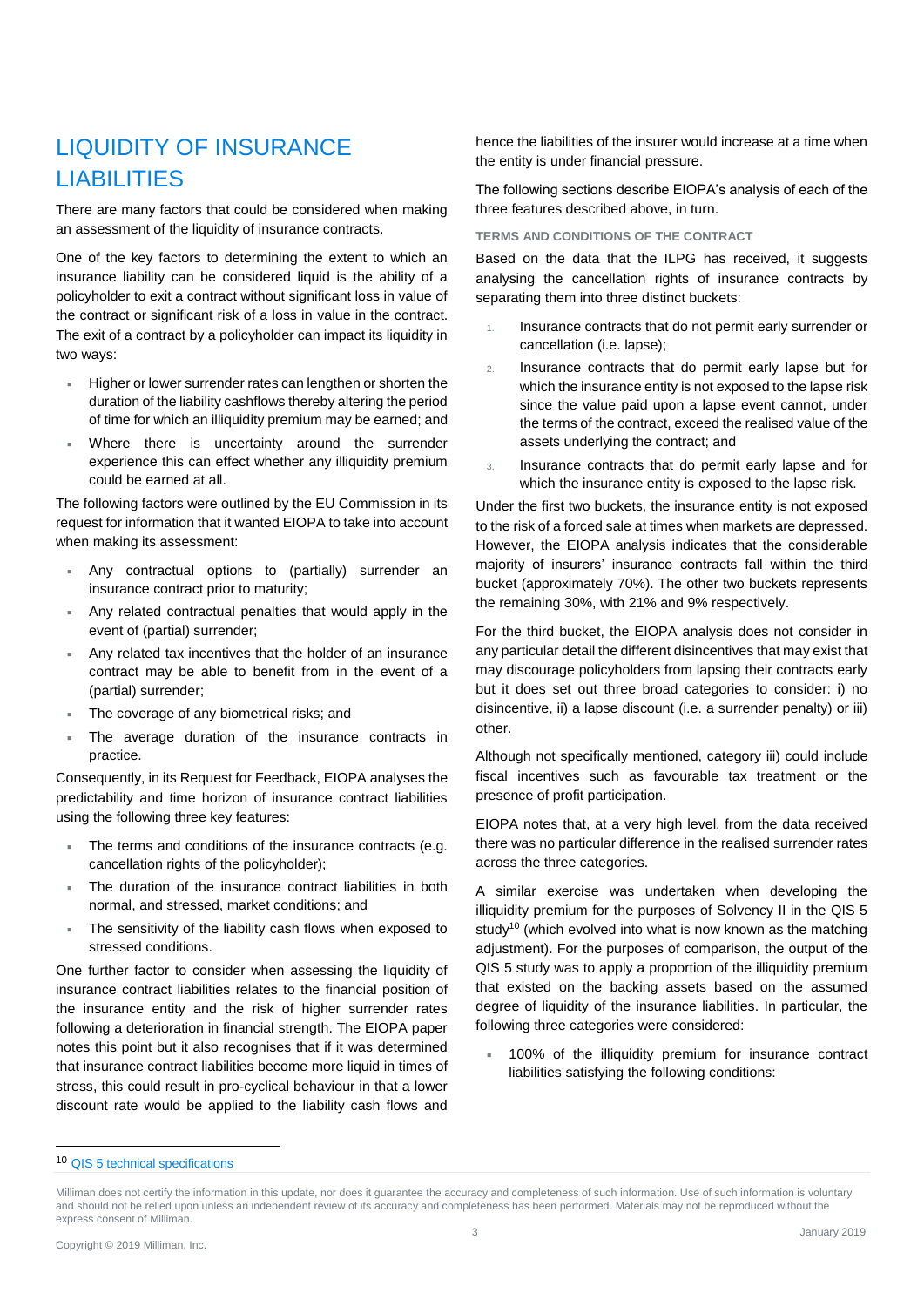# LIQUIDITY OF INSURANCE LIABILITIES

There are many factors that could be considered when making an assessment of the liquidity of insurance contracts.

One of the key factors to determining the extent to which an insurance liability can be considered liquid is the ability of a policyholder to exit a contract without significant loss in value of the contract or significant risk of a loss in value in the contract. The exit of a contract by a policyholder can impact its liquidity in two ways:

- Higher or lower surrender rates can lengthen or shorten the duration of the liability cashflows thereby altering the period of time for which an illiquidity premium may be earned; and
- Where there is uncertainty around the surrender experience this can effect whether any illiquidity premium could be earned at all.

The following factors were outlined by the EU Commission in its request for information that it wanted EIOPA to take into account when making its assessment:

- Any contractual options to (partially) surrender an insurance contract prior to maturity;
- Any related contractual penalties that would apply in the event of (partial) surrender;
- Any related tax incentives that the holder of an insurance contract may be able to benefit from in the event of a (partial) surrender;
- The coverage of any biometrical risks; and
- The average duration of the insurance contracts in practice.

Consequently, in its Request for Feedback, EIOPA analyses the predictability and time horizon of insurance contract liabilities using the following three key features:

- The terms and conditions of the insurance contracts (e.g. cancellation rights of the policyholder);
- The duration of the insurance contract liabilities in both normal, and stressed, market conditions; and
- The sensitivity of the liability cash flows when exposed to stressed conditions.

One further factor to consider when assessing the liquidity of insurance contract liabilities relates to the financial position of the insurance entity and the risk of higher surrender rates following a deterioration in financial strength. The EIOPA paper notes this point but it also recognises that if it was determined that insurance contract liabilities become more liquid in times of stress, this could result in pro-cyclical behaviour in that a lower discount rate would be applied to the liability cash flows and hence the liabilities of the insurer would increase at a time when the entity is under financial pressure.

The following sections describe EIOPA's analysis of each of the three features described above, in turn.

**TERMS AND CONDITIONS OF THE CONTRACT**

Based on the data that the ILPG has received, it suggests analysing the cancellation rights of insurance contracts by separating them into three distinct buckets:

- 1. Insurance contracts that do not permit early surrender or cancellation (i.e. lapse);
- 2. Insurance contracts that do permit early lapse but for which the insurance entity is not exposed to the lapse risk since the value paid upon a lapse event cannot, under the terms of the contract, exceed the realised value of the assets underlying the contract; and
- 3. Insurance contracts that do permit early lapse and for which the insurance entity is exposed to the lapse risk.

Under the first two buckets, the insurance entity is not exposed to the risk of a forced sale at times when markets are depressed. However, the EIOPA analysis indicates that the considerable majority of insurers' insurance contracts fall within the third bucket (approximately 70%). The other two buckets represents the remaining 30%, with 21% and 9% respectively.

For the third bucket, the EIOPA analysis does not consider in any particular detail the different disincentives that may exist that may discourage policyholders from lapsing their contracts early but it does set out three broad categories to consider: i) no disincentive, ii) a lapse discount (i.e. a surrender penalty) or iii) other.

Although not specifically mentioned, category iii) could include fiscal incentives such as favourable tax treatment or the presence of profit participation.

EIOPA notes that, at a very high level, from the data received there was no particular difference in the realised surrender rates across the three categories.

A similar exercise was undertaken when developing the illiquidity premium for the purposes of Solvency II in the QIS 5 study<sup>10</sup> (which evolved into what is now known as the matching adjustment). For the purposes of comparison, the output of the QIS 5 study was to apply a proportion of the illiquidity premium that existed on the backing assets based on the assumed degree of liquidity of the insurance liabilities. In particular, the following three categories were considered:

 100% of the illiquidity premium for insurance contract liabilities satisfying the following conditions:

<sup>10</sup> [QIS 5 technical specifications](https://eiopa.europa.eu/Publications/QIS/QIS5-technical_specifications_20100706.pdf)

Milliman does not certify the information in this update, nor does it guarantee the accuracy and completeness of such information. Use of such information is voluntary and should not be relied upon unless an independent review of its accuracy and completeness has been performed. Materials may not be reproduced without the express consent of Milliman.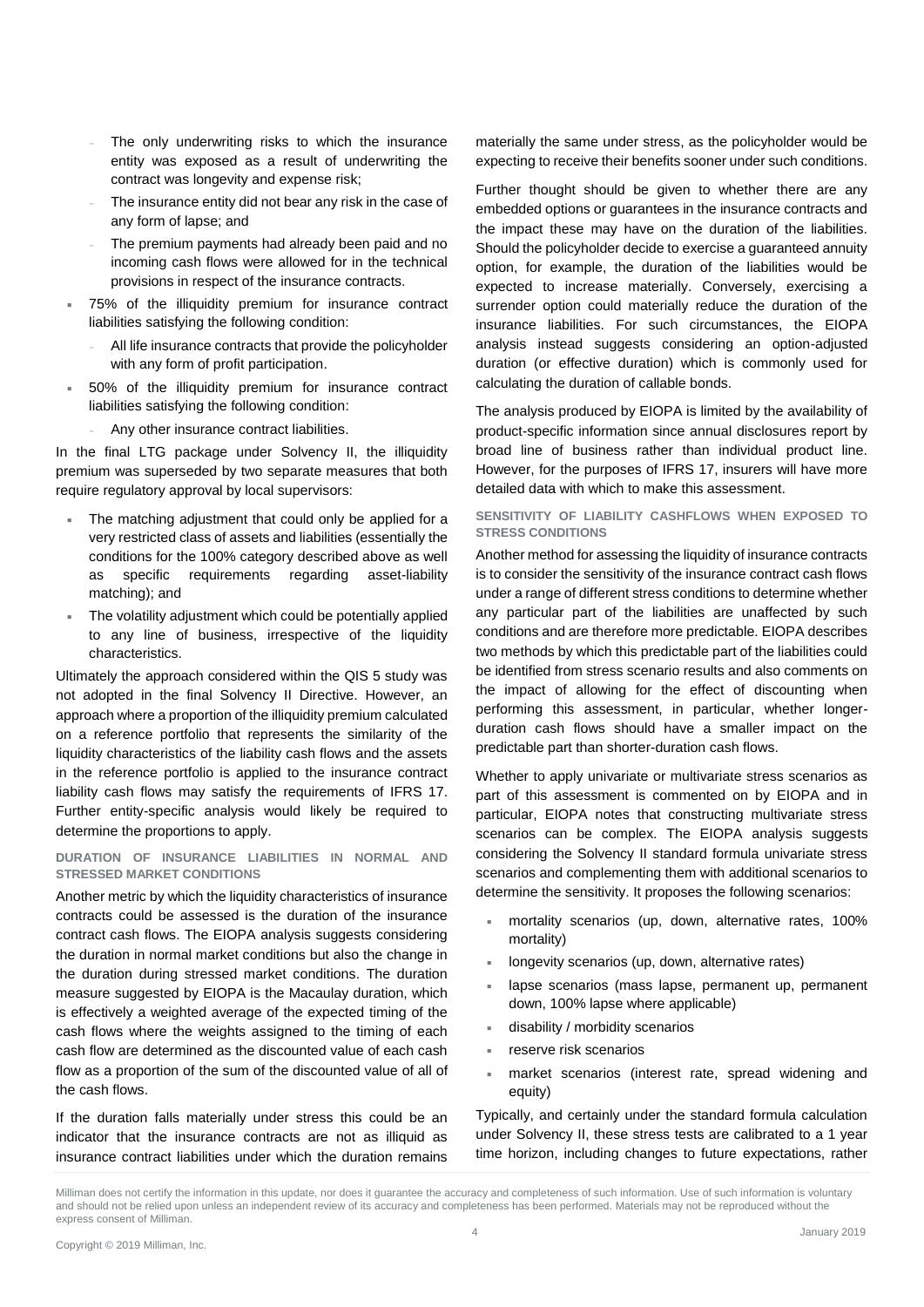- The only underwriting risks to which the insurance entity was exposed as a result of underwriting the contract was longevity and expense risk;
- The insurance entity did not bear any risk in the case of any form of lapse; and
- The premium payments had already been paid and no incoming cash flows were allowed for in the technical provisions in respect of the insurance contracts.
- 75% of the illiquidity premium for insurance contract liabilities satisfying the following condition:
	- All life insurance contracts that provide the policyholder with any form of profit participation.
- 50% of the illiquidity premium for insurance contract liabilities satisfying the following condition:
	- Any other insurance contract liabilities.

In the final LTG package under Solvency II, the illiquidity premium was superseded by two separate measures that both require regulatory approval by local supervisors:

- The matching adjustment that could only be applied for a very restricted class of assets and liabilities (essentially the conditions for the 100% category described above as well as specific requirements regarding asset-liability matching); and
- The volatility adjustment which could be potentially applied to any line of business, irrespective of the liquidity characteristics.

Ultimately the approach considered within the QIS 5 study was not adopted in the final Solvency II Directive. However, an approach where a proportion of the illiquidity premium calculated on a reference portfolio that represents the similarity of the liquidity characteristics of the liability cash flows and the assets in the reference portfolio is applied to the insurance contract liability cash flows may satisfy the requirements of IFRS 17. Further entity-specific analysis would likely be required to determine the proportions to apply.

### **DURATION OF INSURANCE LIABILITIES IN NORMAL AND STRESSED MARKET CONDITIONS**

Another metric by which the liquidity characteristics of insurance contracts could be assessed is the duration of the insurance contract cash flows. The EIOPA analysis suggests considering the duration in normal market conditions but also the change in the duration during stressed market conditions. The duration measure suggested by EIOPA is the Macaulay duration, which is effectively a weighted average of the expected timing of the cash flows where the weights assigned to the timing of each cash flow are determined as the discounted value of each cash flow as a proportion of the sum of the discounted value of all of the cash flows.

If the duration falls materially under stress this could be an indicator that the insurance contracts are not as illiquid as insurance contract liabilities under which the duration remains materially the same under stress, as the policyholder would be expecting to receive their benefits sooner under such conditions.

Further thought should be given to whether there are any embedded options or guarantees in the insurance contracts and the impact these may have on the duration of the liabilities. Should the policyholder decide to exercise a guaranteed annuity option, for example, the duration of the liabilities would be expected to increase materially. Conversely, exercising a surrender option could materially reduce the duration of the insurance liabilities. For such circumstances, the EIOPA analysis instead suggests considering an option-adjusted duration (or effective duration) which is commonly used for calculating the duration of callable bonds.

The analysis produced by EIOPA is limited by the availability of product-specific information since annual disclosures report by broad line of business rather than individual product line. However, for the purposes of IFRS 17, insurers will have more detailed data with which to make this assessment.

#### **SENSITIVITY OF LIABILITY CASHFLOWS WHEN EXPOSED TO STRESS CONDITIONS**

Another method for assessing the liquidity of insurance contracts is to consider the sensitivity of the insurance contract cash flows under a range of different stress conditions to determine whether any particular part of the liabilities are unaffected by such conditions and are therefore more predictable. EIOPA describes two methods by which this predictable part of the liabilities could be identified from stress scenario results and also comments on the impact of allowing for the effect of discounting when performing this assessment, in particular, whether longerduration cash flows should have a smaller impact on the predictable part than shorter-duration cash flows.

Whether to apply univariate or multivariate stress scenarios as part of this assessment is commented on by EIOPA and in particular, EIOPA notes that constructing multivariate stress scenarios can be complex. The EIOPA analysis suggests considering the Solvency II standard formula univariate stress scenarios and complementing them with additional scenarios to determine the sensitivity. It proposes the following scenarios:

- mortality scenarios (up, down, alternative rates, 100% mortality)
- longevity scenarios (up, down, alternative rates)
- lapse scenarios (mass lapse, permanent up, permanent down, 100% lapse where applicable)
- disability / morbidity scenarios
- reserve risk scenarios
- market scenarios (interest rate, spread widening and equity)

Typically, and certainly under the standard formula calculation under Solvency II, these stress tests are calibrated to a 1 year time horizon, including changes to future expectations, rather

Milliman does not certify the information in this update, nor does it guarantee the accuracy and completeness of such information. Use of such information is voluntary and should not be relied upon unless an independent review of its accuracy and completeness has been performed. Materials may not be reproduced without the express consent of Milliman.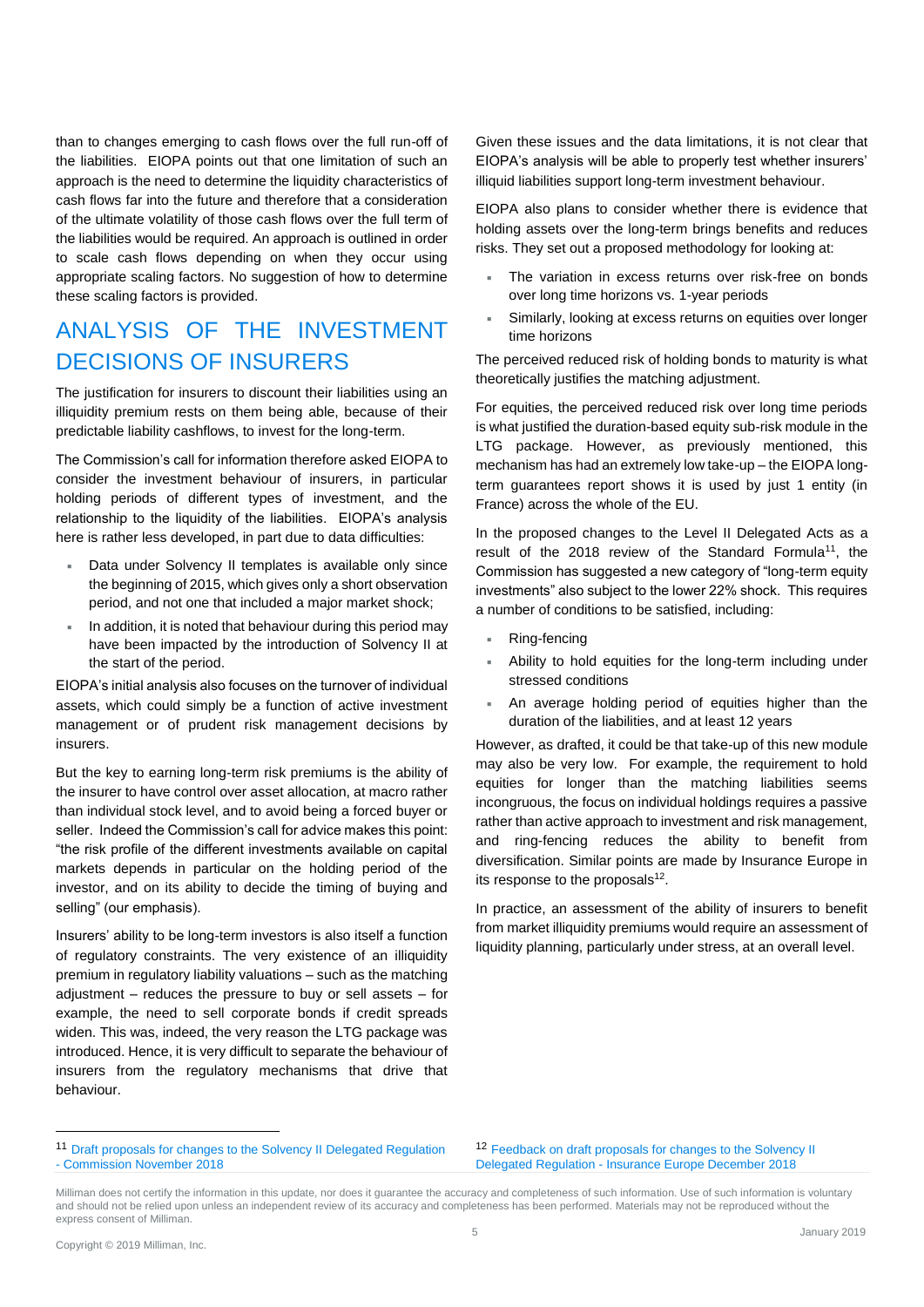than to changes emerging to cash flows over the full run-off of the liabilities. EIOPA points out that one limitation of such an approach is the need to determine the liquidity characteristics of cash flows far into the future and therefore that a consideration of the ultimate volatility of those cash flows over the full term of the liabilities would be required. An approach is outlined in order to scale cash flows depending on when they occur using appropriate scaling factors. No suggestion of how to determine these scaling factors is provided.

## ANALYSIS OF THE INVESTMENT DECISIONS OF INSURERS

The justification for insurers to discount their liabilities using an illiquidity premium rests on them being able, because of their predictable liability cashflows, to invest for the long-term.

The Commission's call for information therefore asked EIOPA to consider the investment behaviour of insurers, in particular holding periods of different types of investment, and the relationship to the liquidity of the liabilities. EIOPA's analysis here is rather less developed, in part due to data difficulties:

- Data under Solvency II templates is available only since the beginning of 2015, which gives only a short observation period, and not one that included a major market shock;
- In addition, it is noted that behaviour during this period may have been impacted by the introduction of Solvency II at the start of the period.

EIOPA's initial analysis also focuses on the turnover of individual assets, which could simply be a function of active investment management or of prudent risk management decisions by insurers.

But the key to earning long-term risk premiums is the ability of the insurer to have control over asset allocation, at macro rather than individual stock level, and to avoid being a forced buyer or seller. Indeed the Commission's call for advice makes this point: "the risk profile of the different investments available on capital markets depends in particular on the holding period of the investor, and on its ability to decide the timing of buying and selling" (our emphasis).

Insurers' ability to be long-term investors is also itself a function of regulatory constraints. The very existence of an illiquidity premium in regulatory liability valuations – such as the matching adjustment – reduces the pressure to buy or sell assets – for example, the need to sell corporate bonds if credit spreads widen. This was, indeed, the very reason the LTG package was introduced. Hence, it is very difficult to separate the behaviour of insurers from the regulatory mechanisms that drive that behaviour.

Given these issues and the data limitations, it is not clear that EIOPA's analysis will be able to properly test whether insurers' illiquid liabilities support long-term investment behaviour.

EIOPA also plans to consider whether there is evidence that holding assets over the long-term brings benefits and reduces risks. They set out a proposed methodology for looking at:

- The variation in excess returns over risk-free on bonds over long time horizons vs. 1-year periods
- Similarly, looking at excess returns on equities over longer time horizons

The perceived reduced risk of holding bonds to maturity is what theoretically justifies the matching adjustment.

For equities, the perceived reduced risk over long time periods is what justified the duration-based equity sub-risk module in the LTG package. However, as previously mentioned, this mechanism has had an extremely low take-up – the EIOPA longterm guarantees report shows it is used by just 1 entity (in France) across the whole of the EU.

In the proposed changes to the Level II Delegated Acts as a result of the 2018 review of the Standard Formula<sup>11</sup>, the Commission has suggested a new category of "long-term equity investments" also subject to the lower 22% shock. This requires a number of conditions to be satisfied, including:

- Ring-fencing
- Ability to hold equities for the long-term including under stressed conditions
- An average holding period of equities higher than the duration of the liabilities, and at least 12 years

However, as drafted, it could be that take-up of this new module may also be very low. For example, the requirement to hold equities for longer than the matching liabilities seems incongruous, the focus on individual holdings requires a passive rather than active approach to investment and risk management, and ring-fencing reduces the ability to benefit from diversification. Similar points are made by Insurance Europe in its response to the proposals $12$ .

In practice, an assessment of the ability of insurers to benefit from market illiquidity premiums would require an assessment of liquidity planning, particularly under stress, at an overall level.

<sup>12</sup> Feedback on draft proposals for changes to the Solvency II Delegated Regulation - [Insurance Europe December 2018](https://ec.europa.eu/info/law/better-regulation/initiatives/ares-2018-5720906/feedback/F15839_en?p_id=327250)

<sup>11</sup> [Draft proposals for changes to the Solvency II Delegated Regulation](https://ec.europa.eu/info/law/better-regulation/initiatives/ares-2018-5720906_en)  - [Commission November 2018](https://ec.europa.eu/info/law/better-regulation/initiatives/ares-2018-5720906_en)

Milliman does not certify the information in this update, nor does it guarantee the accuracy and completeness of such information. Use of such information is voluntary and should not be relied upon unless an independent review of its accuracy and completeness has been performed. Materials may not be reproduced without the express consent of Milliman.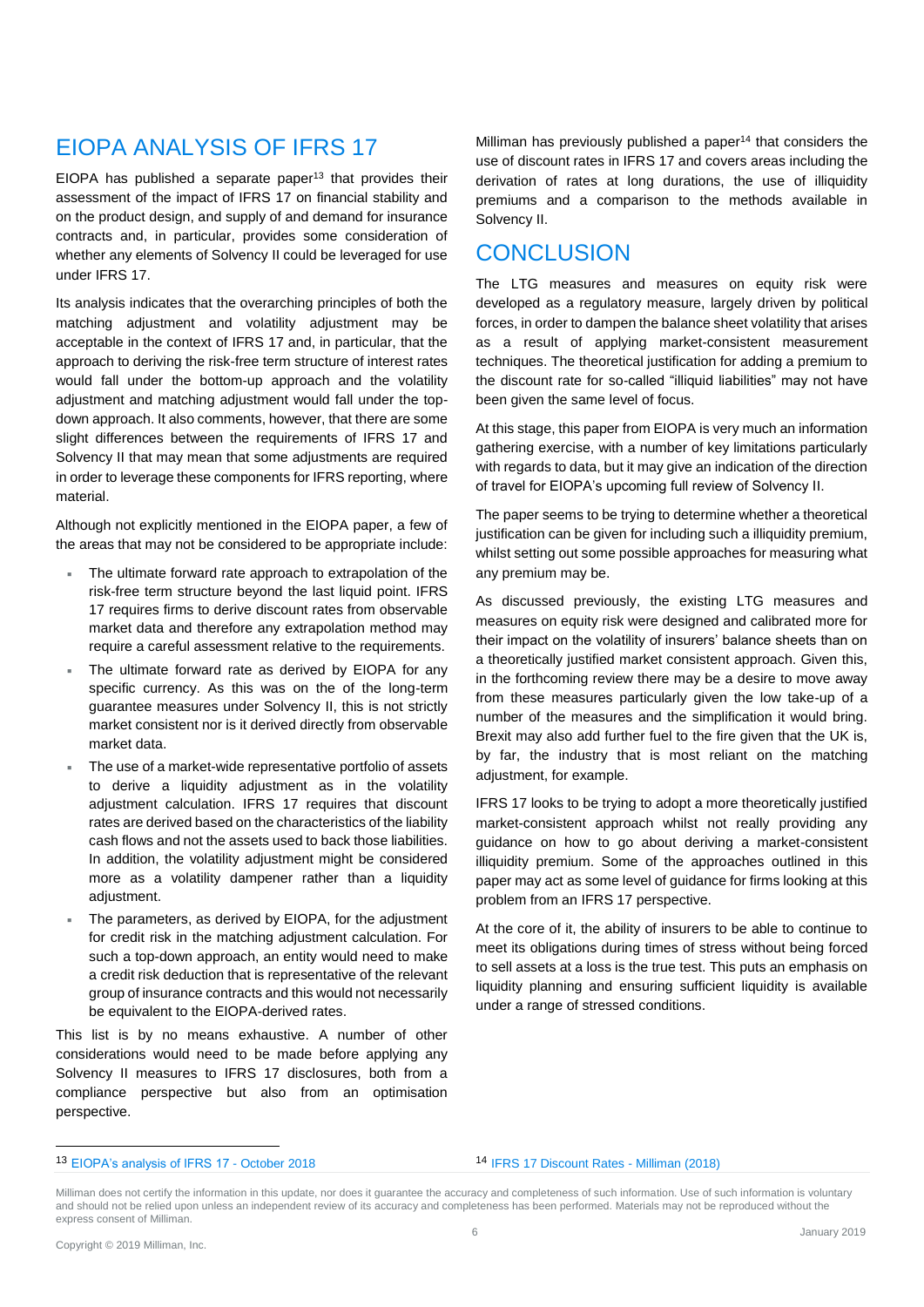## EIOPA ANALYSIS OF IFRS 17

EIOPA has published a separate paper $13$  that provides their assessment of the impact of IFRS 17 on financial stability and on the product design, and supply of and demand for insurance contracts and, in particular, provides some consideration of whether any elements of Solvency II could be leveraged for use under IFRS 17.

Its analysis indicates that the overarching principles of both the matching adjustment and volatility adjustment may be acceptable in the context of IFRS 17 and, in particular, that the approach to deriving the risk-free term structure of interest rates would fall under the bottom-up approach and the volatility adjustment and matching adjustment would fall under the topdown approach. It also comments, however, that there are some slight differences between the requirements of IFRS 17 and Solvency II that may mean that some adjustments are required in order to leverage these components for IFRS reporting, where material.

Although not explicitly mentioned in the EIOPA paper, a few of the areas that may not be considered to be appropriate include:

- The ultimate forward rate approach to extrapolation of the risk-free term structure beyond the last liquid point. IFRS 17 requires firms to derive discount rates from observable market data and therefore any extrapolation method may require a careful assessment relative to the requirements.
- The ultimate forward rate as derived by EIOPA for any specific currency. As this was on the of the long-term guarantee measures under Solvency II, this is not strictly market consistent nor is it derived directly from observable market data.
- The use of a market-wide representative portfolio of assets to derive a liquidity adjustment as in the volatility adjustment calculation. IFRS 17 requires that discount rates are derived based on the characteristics of the liability cash flows and not the assets used to back those liabilities. In addition, the volatility adjustment might be considered more as a volatility dampener rather than a liquidity adiustment.
- The parameters, as derived by EIOPA, for the adjustment for credit risk in the matching adjustment calculation. For such a top-down approach, an entity would need to make a credit risk deduction that is representative of the relevant group of insurance contracts and this would not necessarily be equivalent to the EIOPA-derived rates.

This list is by no means exhaustive. A number of other considerations would need to be made before applying any Solvency II measures to IFRS 17 disclosures, both from a compliance perspective but also from an optimisation perspective.

Milliman has previously published a paper<sup>14</sup> that considers the use of discount rates in IFRS 17 and covers areas including the derivation of rates at long durations, the use of illiquidity premiums and a comparison to the methods available in Solvency II.

### **CONCLUSION**

The LTG measures and measures on equity risk were developed as a regulatory measure, largely driven by political forces, in order to dampen the balance sheet volatility that arises as a result of applying market-consistent measurement techniques. The theoretical justification for adding a premium to the discount rate for so-called "illiquid liabilities" may not have been given the same level of focus.

At this stage, this paper from EIOPA is very much an information gathering exercise, with a number of key limitations particularly with regards to data, but it may give an indication of the direction of travel for EIOPA's upcoming full review of Solvency II.

The paper seems to be trying to determine whether a theoretical justification can be given for including such a illiquidity premium, whilst setting out some possible approaches for measuring what any premium may be.

As discussed previously, the existing LTG measures and measures on equity risk were designed and calibrated more for their impact on the volatility of insurers' balance sheets than on a theoretically justified market consistent approach. Given this, in the forthcoming review there may be a desire to move away from these measures particularly given the low take-up of a number of the measures and the simplification it would bring. Brexit may also add further fuel to the fire given that the UK is, by far, the industry that is most reliant on the matching adjustment, for example.

IFRS 17 looks to be trying to adopt a more theoretically justified market-consistent approach whilst not really providing any guidance on how to go about deriving a market-consistent illiquidity premium. Some of the approaches outlined in this paper may act as some level of guidance for firms looking at this problem from an IFRS 17 perspective.

At the core of it, the ability of insurers to be able to continue to meet its obligations during times of stress without being forced to sell assets at a loss is the true test. This puts an emphasis on liquidity planning and ensuring sufficient liquidity is available under a range of stressed conditions.

### <sup>14</sup> [IFRS 17 Discount Rates -](http://www.milliman.com/uploadedFiles/insight/2018/IFRS-17-Discount-Rates.pdf) Milliman (2018)

<sup>13</sup> [EIOPA's analysis of IFRS 17 -](https://eiopa.europa.eu/Publications/Reports/EIOPA-18-717_EIOPA_Analysis_IFRS_17_18%2010%202018.pdf) October 2018

Milliman does not certify the information in this update, nor does it guarantee the accuracy and completeness of such information. Use of such information is voluntary and should not be relied upon unless an independent review of its accuracy and completeness has been performed. Materials may not be reproduced without the express consent of Milliman.